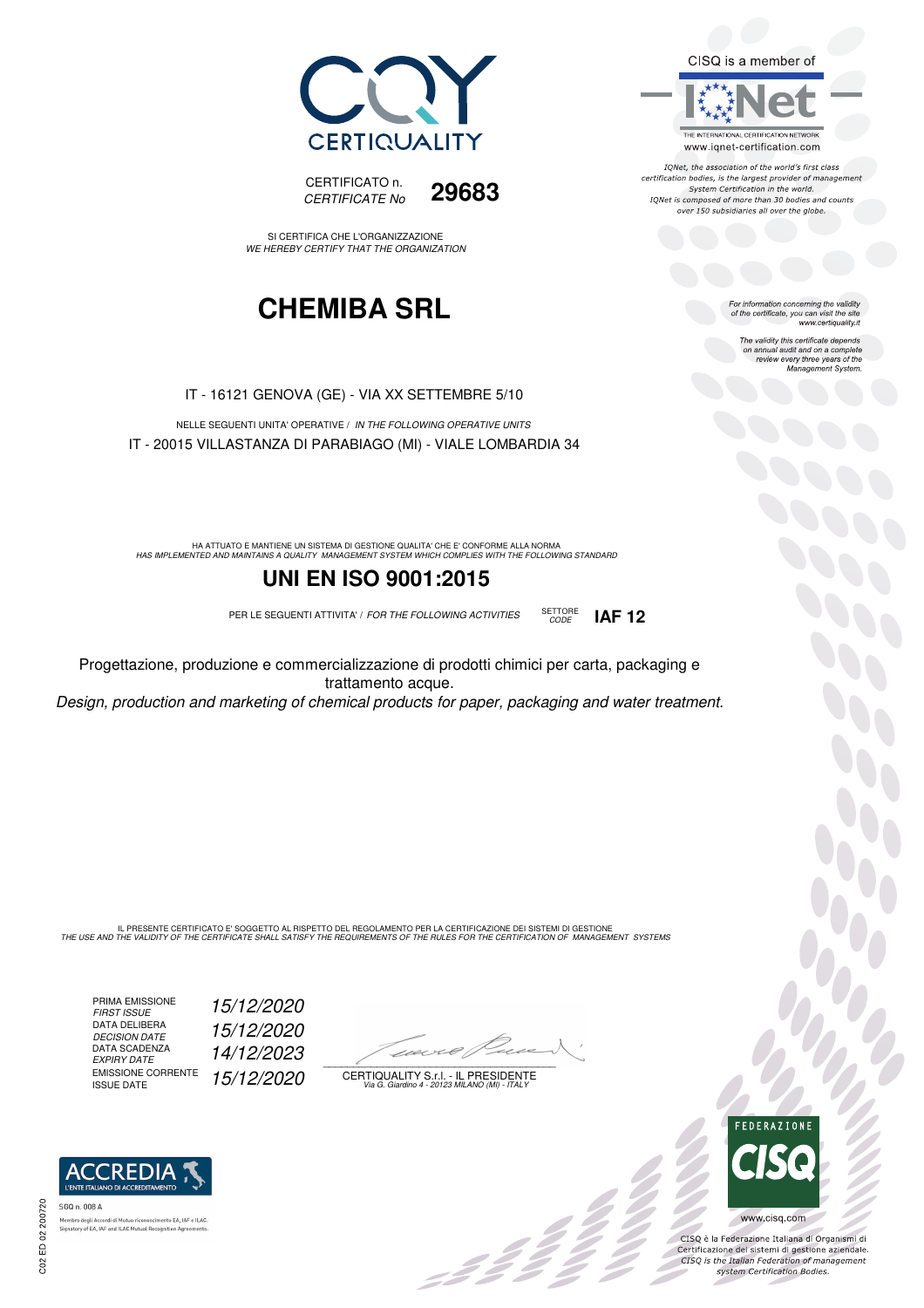



SI CERTIFICA CHE L'ORGANIZZAZIONE WE HEREBY CERTIFY THAT THE ORGANIZATION

## **CHEMIBA SRL**

IT - 16121 GENOVA (GE) - VIA XX SETTEMBRE 5/10

NELLE SEGUENTI UNITA' OPERATIVE / IN THE FOLLOWING OPERATIVE UNITS IT - 20015 VILLASTANZA DI PARABIAGO (MI) - VIALE LOMBARDIA 34

HA ATTUATO E MANTIENE UN SISTEMA DI GESTIONE QUALITA' CHE E' CONFORME ALLA NORMA<br>HAS IMPLEMENTED AND MAINTAINS A QUALITY MANAGEMENT SYSTEM WHICH COMPLIES WITH THE FOLLOWING STANDARD

#### **UNI EN ISO 9001:2015**

PER LE SEGUENTI ATTIVITA' / FOR THE FOLLOWING ACTIVITIES SETTORE

CODE **IAF 12**

Progettazione, produzione e commercializzazione di prodotti chimici per carta, packaging e trattamento acque. Design, production and marketing of chemical products for paper, packaging and water treatment.

IL PRESENTE CERTIFICATO E' SOGGETTO AL RISPETTO DEL REGOLAMENTO PER LA CERTIFICAZIONE DEI SISTEMI DI GESTIONE<br>THE USE AND THE VALIDITY OF THE CERTIFICATE SHALL SATISFY THE REQUIREMENTS OF THE RULES FOR THE CERTIFICATION OF

PRIMA EMISSIONE FIRST ISSUE 15/12/2020 DATA DELIBERA DECISION DATE<br>DATA SCADENZA<br>EXPIRY DATE EMISSIONE CORRENTE<br>ISSUE DATE

ACCREDIA

horo degli Accordi di Mutuo riconoscimenti<br>atory of EA, IAF and ILAC Mutual Recognit

SGQ n. 008 A

15/12/2020 EXPIRY DATE 14/12/2023 15/12/2020

 $\overline{\phantom{a}}$ 

-2222

CERTIQUALITY S.r.l. - IL PRESIDENTE Via G. Giardino 4 - 20123 MILANO (MI) - ITALY

FEDERAZIONE

bo<br>Do

CISQ è la Federazione Italiana di Organismi di Certificazione dei sistemi di gestione aziendale.<br>CISQ is the Italian Federation of management system Certification Bodies.

www.cisq.com



For information concerning the validity<br>of the certificate, you can visit the site<br>www.certiquality.it

CISQ is a member of

System Certification in the world. IQNet is composed of more than 30 bodies and counts over 150 subsidiaries all over the globe.

> The validity this certificate depends on annual audit and on a complete review every three years of the Management System